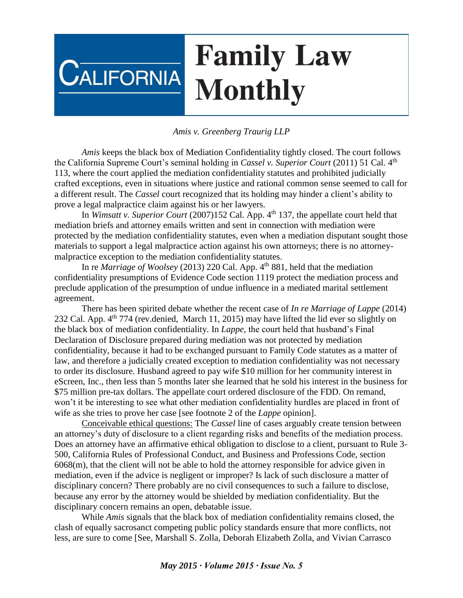## **Family Law CALIFORNIA Monthly**

## *Amis v. Greenberg Traurig LLP*

*Amis* keeps the black box of Mediation Confidentiality tightly closed. The court follows the California Supreme Court's seminal holding in *Cassel v. Superior Court* (2011) 51 Cal. 4th 113, where the court applied the mediation confidentiality statutes and prohibited judicially crafted exceptions, even in situations where justice and rational common sense seemed to call for a different result. The *Cassel* court recognized that its holding may hinder a client's ability to prove a legal malpractice claim against his or her lawyers.

In *Wimsatt v. Superior Court* (2007)152 Cal. App. 4<sup>th</sup> 137, the appellate court held that mediation briefs and attorney emails written and sent in connection with mediation were protected by the mediation confidentiality statutes, even when a mediation disputant sought those materials to support a legal malpractice action against his own attorneys; there is no attorneymalpractice exception to the mediation confidentiality statutes.

In re *Marriage of Woolsey* (2013) 220 Cal. App. 4<sup>th</sup> 881, held that the mediation confidentiality presumptions of Evidence Code section 1119 protect the mediation process and preclude application of the presumption of undue influence in a mediated marital settlement agreement.

There has been spirited debate whether the recent case of *In re Marriage of Lappe* (2014) 232 Cal. App. 4<sup>th</sup> 774 (rev.denied, March 11, 2015) may have lifted the lid ever so slightly on the black box of mediation confidentiality. In *Lappe,* the court held that husband's Final Declaration of Disclosure prepared during mediation was not protected by mediation confidentiality, because it had to be exchanged pursuant to Family Code statutes as a matter of law, and therefore a judicially created exception to mediation confidentiality was not necessary to order its disclosure. Husband agreed to pay wife \$10 million for her community interest in eScreen, Inc., then less than 5 months later she learned that he sold his interest in the business for \$75 million pre-tax dollars. The appellate court ordered disclosure of the FDD. On remand, won't it be interesting to see what other mediation confidentiality hurdles are placed in front of wife as she tries to prove her case [see footnote 2 of the *Lappe* opinion].

Conceivable ethical questions: The *Cassel* line of cases arguably create tension between an attorney's duty of disclosure to a client regarding risks and benefits of the mediation process. Does an attorney have an affirmative ethical obligation to disclose to a client, pursuant to Rule 3- 500, California Rules of Professional Conduct, and Business and Professions Code, section 6068(m), that the client will not be able to hold the attorney responsible for advice given in mediation, even if the advice is negligent or improper? Is lack of such disclosure a matter of disciplinary concern? There probably are no civil consequences to such a failure to disclose, because any error by the attorney would be shielded by mediation confidentiality. But the disciplinary concern remains an open, debatable issue.

While *Amis* signals that the black box of mediation confidentiality remains closed, the clash of equally sacrosanct competing public policy standards ensure that more conflicts, not less, are sure to come [See, Marshall S. Zolla, Deborah Elizabeth Zolla, and Vivian Carrasco